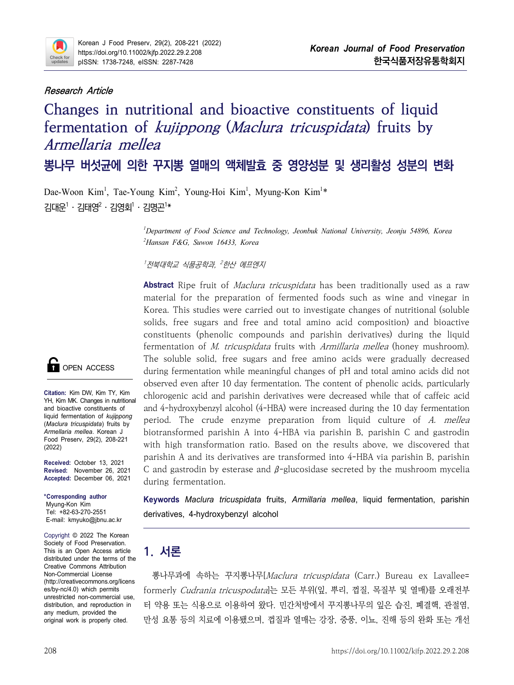

# **Research Article**

# **Changes in nutritional and bioactive constituents of liquid fermentation of kujippong (Maclura tricuspidata) fruits by Armellaria mellea 뽕나무 버섯균에 의한 꾸지뽕 열매의 액체발효 중 영양성분 및 생리활성 성분의 변화**

Dae-Woon Kim<sup>1</sup>, Tae-Young Kim<sup>2</sup>, Young-Hoi Kim<sup>1</sup>, Myung-Kon Kim<sup>1</sup>\*  $71H\cdot 2H$ 대영 $^2 \cdot 7H\cdot 2H$ 기\*

> *<sup>1</sup>Department of Food Science and Technology, Jeonbuk National University, Jeonju 54896, Korea <sup>2</sup>Hansan F&G, Suwon 16433, Korea*

 $^{\prime}$ 전북대학교 식품공학과,  $^{\prime}$ 한산 에프엔지

**Abstract** Ripe fruit of Maclura tricuspidata has been traditionally used as a raw material for the preparation of fermented foods such as wine and vinegar in Korea. This studies were carried out to investigate changes of nutritional (soluble solids, free sugars and free and total amino acid composition) and bioactive constituents (phenolic compounds and parishin derivatives) during the liquid fermentation of *M. tricuspidata* fruits with *Armillaria mellea* (honey mushroom). The soluble solid, free sugars and free amino acids were gradually decreased during fermentation while meaningful changes of pH and total amino acids did not observed even after 10 day fermentation. The content of phenolic acids, particularly chlorogenic acid and parishin derivatives were decreased while that of caffeic acid and 4-hydroxybenzyl alcohol (4-HBA) were increased during the 10 day fermentation period. The crude enzyme preparation from liquid culture of A. mellea biotransformed parishin A into 4-HBA via parishin B, parishin C and gastrodin with high transformation ratio. Based on the results above, we discovered that parishin A and its derivatives are transformed into 4-HBA via parishin B, parishin C and gastrodin by esterase and  $\beta$ -glucosidase secreted by the mushroom mycelia during fermentation.

**Keywords** *Maclura tricuspidata* fruits, *Armillaria mellea*, liquid fermentation, parishin derivatives, 4-hydroxybenzyl alcohol

# **1. 서론**

unrestricted non-commercial use,<br>distribution, and reproduction in 더 약용 또는 식용으로 이용하여 왔다. 민간처방에서 꾸지뽕나무의 잎은 습진, 폐결핵, 관절염, 뽕나무과에 속하는 꾸지뽕나무[Maclura tricuspidata (Carr.) Bureau ex Lavallee= formerly Cudrania tricuspodata]는 모든 부위(잎, 뿌리, 껍질, 목질부 및 열매)를 오래전부 만성 요통 등의 치료에 이용됐으며, 껍질과 열매는 강장, 중풍, 이뇨, 진해 등의 완화 또는 개선



**Citation:** Kim DW, Kim TY, Kim YH, Kim MK. Changes in nutritional and bioactive constituents of liquid fermentation of *kujippong*  (*Maclura tricuspidata*) fruits by *Armellaria mellea*. Korean J Food Preserv, 29(2), 208-221 (2022)

**Received:** October 13, 2021 **Revised:** November 26, 2021 **Accepted:** Decembe**r** 06, 2021

**\*Corresponding author**

Myung-Kon Kim Tel: +82-63-270-2551 E-mail: kmyuko@jbnu.ac.kr

Copyright © 2022 The Korean Society of Food Preservation. This is an Open Access article distributed under the terms of the Creative Commons Attribution Non-Commercial License (http://creativecommons.org/licens es/by-nc/4.0) which permits distribution, and reproduction in any medium, provided the original work is properly cited.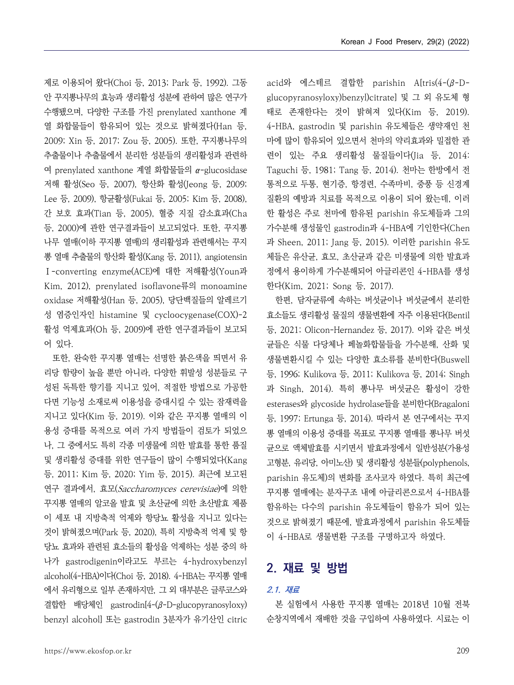제로 이용되어 왔다(Choi 등, 2013; Park 등, 1992). 그동 안 꾸지뽕나무의 효능과 생리활성 성분에 관하여 많은 연구가 수행됐으며, 다양한 구조를 가진 prenylated xanthone 계 열 화합물들이 함유되어 있는 것으로 밝혀졌다(Han 등,<br>2009; Xin 등, 2017; Zou 등, 2005). 또한, 꾸지뽕나무의 추출물이나 추출물에서 분리한 성분들의 생리활성과 관련하 여 prenylated xanthone 계열 화합물들의 α-glucosidase 저해 활성(Seo 등, 2007), 항산화 활성(Jeong 등, 2009; Lee 등, 2009), 항균활성(Fukai 등, 2005; Kim 등, 2008), 간 보호 효과(Tian 등, 2005), 혈중 지질 감소효과(Cha 등, 2000)에 관한 연구결과들이 보고되었다. 또한, 꾸지뽕 나무 열매(이하 꾸지뽕 열매)의 생리활성과 관련해서는 꾸지 뽕 열매 추출물의 항산화 활성(Kang 등, 2011), angiotensin Ⅰ-converting enzyme(ACE)에 대한 저해활성(Youn과 Kim, 2012), prenylated isoflavone류의 monoamine oxidase 저해활성(Han 등, 2005), 당단백질들의 알레르기 성 염증인자인 histamine 및 cycloocygenase(COX)-2 활성 억제효과(Oh 등, 2009)에 관한 연구결과들이 보고되 어 있다.

또한, 완숙한 꾸지뽕 열매는 선명한 붉은색을 띄면서 유 리당 함량이 높을 뿐만 아니라, 다양한 휘발성 성분들로 구 성된 독특한 향기를 지니고 있어, 적절한 방법으로 가공한 다면 기능성 소재로써 이용성을 증대시킬 수 있는 잠재력을 지니고 있다(Kim 등, 2019). 이와 같은 꾸지뽕 열매의 이 용성 증대를 목적으로 여러 가지 방법들이 검토가 되었으 나, 그 중에서도 특히 각종 미생물에 의한 발효를 통한 품질 및 생리활성 증대를 위한 연구들이 많이 수행되었다(Kang 등, 2011; Kim 등, 2020; Yim 등, 2015). 최근에 보고된 연구 결과에서, 효모(Saccharomyces cerevisiae)에 의한 꾸지뽕 열매의 알코올 발효 및 초산균에 의한 초산발효 제품 이 세포 내 지방축적 억제와 항당뇨 활성을 지니고 있다는 것이 밝혀졌으며(Park 등, 2020), 특히 지방축적 억제 및 항 당뇨 효과와 관련된 효소들의 활성을 억제하는 성분 중의 하 나가 gastrodigenin이라고도 부르는 4-hydroxybenzyl alcohol(4-HBA)이다(Choi 등, 2018). 4-HBA는 꾸지뽕 열매 에서 유리형으로 일부 존재하지만, 그 외 대부분은 글루코스와 결합한 배당체인 gastrodin[4-(β-D-glucopyranosyloxy) benzyl alcohol] 또는 gastrodin 3분자가 유기산인 citric acid와 에스테르 결합한 parishin A[tris(4-(β-Dglucopyranosyloxy)benzyl)citrate] 및 그 외 유도체 형 태로 존재한다는 것이 밝혀져 있다(Kim 등, 2019). 4-HBA, gastrodin 및 parishin 유도체들은 생약재인 천 마에 많이 함유되어 있으면서 천마의 약리효과와 밀접한 관 련이 있는 주요 생리활성 물질들이다(Jia 등, 2014: Taguchi 등, 1981; Tang 등, 2014). 천마는 한방에서 전 통적으로 두통, 현기증, 항경련, 수족마비, 중풍 등 신경계 질환의 예방과 치료를 목적으로 이용이 되어 왔는데, 이러 한 활성은 주로 천마에 함유된 parishin 유도체들과 그의 가수분해 생성물인 gastrodin과 4-HBA에 기인한다(Chen 과 Sheen, 2011; Jang 등, 2015). 이러한 parishin 유도 체들은 유산균, 효모, 초산균과 같은 미생물에 의한 발효과 정에서 용이하게 가수분해되어 아글리콘인 4-HBA를 생성 한다(Kim, 2021; Song 등, 2017).

한편, 담자균류에 속하는 버섯균이나 버섯균에서 분리한 효소들도 생리활성 물질의 생물변환에 자주 이용된다(Bentil 등, 2021; Olicon-Hernandez 등, 2017). 이와 같은 버섯 균들은 식물 다당체나 페놀화합물들을 가수분해, 산화 및 생물변환시킬 수 있는 다양한 효소류를 분비한다(Buswell 등, 1996; Kulikova 등, 2011; Kulikova 등, 2014; Singh 과 Singh, 2014). 특히 뽕나무 버섯균은 활성이 강한 esterases와 glycoside hydrolase들을 분비한다(Bragaloni 등, 1997; Ertunga 등, 2014). 따라서 본 연구에서는 꾸지 뽕 열매의 이용성 증대를 목표로 꾸지뽕 열매를 뽕나무 버섯 균으로 액체발효를 시키면서 발효과정에서 일반성분(가용성 고형분, 유리당, 아미노산) 및 생리활성 성분들(polyphenols, parishin 유도체)의 변화를 조사코자 하였다. 특히 최근에 꾸지뽕 열매에는 분자구조 내에 아글리콘으로서 4-HBA를 함유하는 다수의 parishin 유도체들이 함유가 되어 있는 것으로 밝혀졌기 때문에, 발효과정에서 parishin 유도체들 이 4-HBA로 생물변환 구조를 구명하고자 하였다.

# **2. 재료 및 방법**

### **2.1. 재료**

본 실험에서 사용한 꾸지뽕 열매는 2018년 10월 전북 순창지역에서 재배한 것을 구입하여 사용하였다. 시료는 이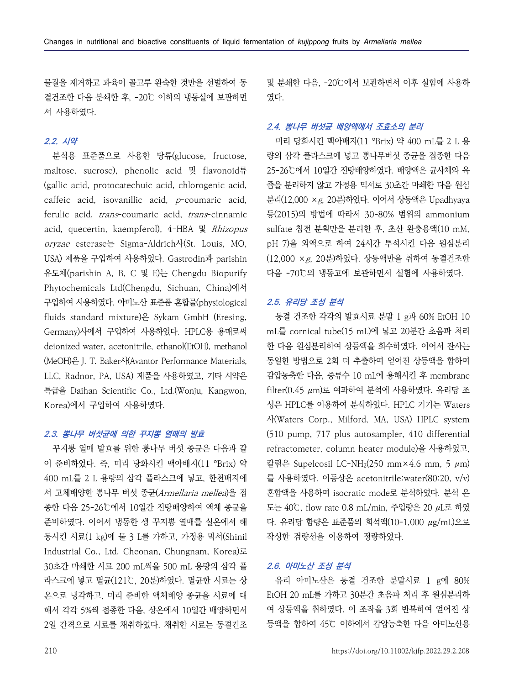물질을 제거하고 과육이 골고루 완숙한 것만을 선별하여 동 결건조한 다음 분쇄한 후, -20℃ 이하의 냉동실에 보관하면 서 사용하였다.

# **2.2. 시약**

분석용 표준품으로 사용한 당류(glucose, fructose, maltose, sucrose), phenolic acid 및 flavonoid류 (gallic acid, protocatechuic acid, chlorogenic acid, caffeic acid, isovanillic acid, p-coumaric acid, ferulic acid, trans-coumaric acid, trans-cinnamic acid, quecertin, kaempferol), 4-HBA 및 Rhizopus oryzae esterase는 Sigma-Aldrich사(St. Louis, MO, USA) 제품을 구입하여 사용하였다. Gastrodin과 parishin 유도체(parishin A, B, C 및 E)는 Chengdu Biopurify Phytochemicals Ltd(Chengdu, Sichuan, China)에서 구입하여 사용하였다. 아미노산 표준품 혼합물(physiological fluids standard mixture)은 Sykam GmbH (Eresing, Germany)사에서 구입하여 사용하였다. HPLC용 용매로써 deionized water, acetonitrile, ethanol(EtOH), methanol (MeOH)은 J. T. Baker사(Avantor Performance Materials, LLC, Radnor, PA, USA) 제품을 사용하였고, 기타 시약은 특급을 Daihan Scientific Co., Ltd.(Wonju, Kangwon, Korea)에서 구입하여 사용하였다.

### **2.3. 뽕나무 버섯균에 의한 꾸지뽕 열매의 발효**

이 준비하였다. 즉, 미리 당화시킨 맥아배지(11 °Brix) 약 400 mL를 2 L 용량의 삼각 플라스크에 넣고, 한천배지에 서 고체배양한 뽕나무 버섯 종균(Armellaria mellea)을 접 종한 다음 25-26℃에서 10일간 진탕배양하여 액체 종균을 준비하였다. 이어서 냉동한 생 꾸지뽕 열매를 실온에서 해 동시킨 시료(1 kg)에 물 3 L를 가하고, 가정용 믹서(Shinil Industrial Co., Ltd. Cheonan, Chungnam, Korea)로 30초간 마쇄한 시료 200 mL씩을 500 mL 용량의 삼각 플 라스크에 넣고 멸균(121℃, 20분)하였다. 멸균한 시료는 상 온으로 냉각하고, 미리 준비한 액체배양 종균을 시료에 대 해서 각각 5%씩 접종한 다음, 상온에서 10일간 배양하면서 2일 간격으로 시료를 채취하였다. 채취한 시료는 동결건조 및 분쇄한 다음, -20℃에서 보관하면서 이후 실험에 사용하 였다.

### **2.4. 뽕나무 버섯균 배양액에서 조효소의 분리**

미리 당화시킨 맥아배지(11 °Brix) 약 400 mL를 2 L 용 량의 삼각 플라스크에 넣고 뽕나무버섯 종균을 접종한 다음 25-26℃에서 10일간 진탕배양하였다. 배양액은 균사체와 육 즙을 분리하지 않고 가정용 믹서로 30초간 마쇄한 다음 원심 분리(12,000 ×g, 20분)하였다. 이어서 상등액은 Upadhyaya 등(2015)의 방법에 따라서 30-80% 범위의 ammonium sulfate 침전 분획만을 분리한 후, 초산 완충용액(10 mM, pH 7)을 외액으로 하여 24시간 투석시킨 다음 원심분리 (12,000 ×g, 20분)하였다. 상등액만을 취하여 동결건조한 다음 -70℃의 냉동고에 보관하면서 실험에 사용하였다.

#### **2.5. 유리당 조성 분석**

꾸지뽕 열매 발효를 위한 뽕나무 버섯 종균은 다음과 같 동결 건조한 각각의 발효시료 분말 1 g과 60% EtOH 10 mL를 cornical tube(15 mL)에 넣고 20분간 초음파 처리 한 다음 원심분리하여 상등액을 회수하였다. 이어서 잔사는 동일한 방법으로 2회 더 추출하여 얻어진 상등액을 합하여 감압농축한 다음, 증류수 10 mL에 용해시킨 후 membrane  $filter(0.45 \mu m)$ 로 여과하여 분석에 사용하였다. 유리당 조 성은 HPLC를 이용하여 분석하였다. HPLC 기기는 Waters 사(Waters Corp., Milford, MA, USA) HPLC system (510 pump, 717 plus autosampler, 410 differential 칼럼은 Supelcosil LC-NH<sub>2</sub>(250 mm×4.6 mm, 5  $\mu$ m) 를 사용하였다. 이동상은 acetonitrile:water(80:20, v/v) 혼합액을 사용하여 isocratic mode로 분석하였다. 분석 온 도는 40℃, flow rate 0.8 mL/min, 주입량은 20 μL로 하였 다. 유리당 함량은 표준품의 희석액(10-1,000 μg/mL)으로 작성한 검량선을 이용하여 정량하였다.

## **2.6. 아미노산 조성 분석**

유리 아미노산은 동결 건조한 분말시료 1 g에 80% EtOH 20 mL를 가하고 30분간 초음파 처리 후 원심분리하 여 상등액을 취하였다. 이 조작을 3회 반복하여 얻어진 상 등액을 합하여 45℃ 이하에서 감압농축한 다음 아미노산용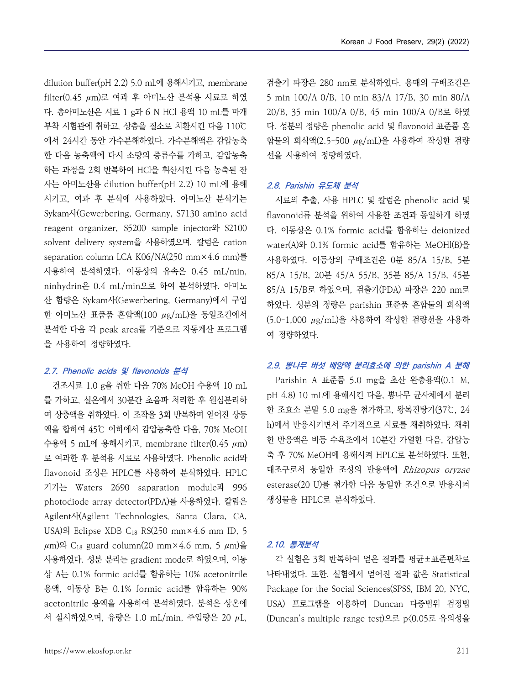dilution buffer(pH 2.2) 5.0 mL에 용해시키고, membrane filter(0.45 μm)로 여과 후 아미노산 분석용 시료로 하였 다. 총아미노산은 시료 1 g과 6 N HCl 용액 10 mL를 마개 부착 시험관에 취하고, 상층을 질소로 치환시킨 다음 110℃ 에서 24시간 동안 가수분해하였다. 가수분해액은 감압농축 한 다음 농축액에 다시 소량의 증류수를 가하고, 감압농축 하는 과정을 2회 반복하여 HCl을 휘산시킨 다음 농축된 잔 사는 아미노산용 dilution buffer(pH 2.2) 10 mL에 용해 시키고, 여과 후 분석에 사용하였다. 아미노산 분석기는 Sykam사(Gewerbering, Germany, S7130 amino acid reagent organizer, S5200 sample injector와 S2100 solvent delivery system을 사용하였으며, 칼럼은 cation separation column LCA K06/NA(250 mm×4.6 mm)를 사용하여 분석하였다. 이동상의 유속은 0.45 mL/min, ninhydrin은 0.4 mL/min으로 하여 분석하였다. 아미노 산 함량은 Sykam사(Gewerbering, Germany)에서 구입 한 아미노산 표품품 혼합액(100 μg/mL)을 동일조건에서 분석한 다음 각 peak area를 기준으로 자동계산 프로그램 을 사용하여 정량하였다.

### **2.7. Phenolic acids 및 flavonoids 분석**

건조시료 1.0 g을 취한 다음 70% MeOH 수용액 10 mL 를 가하고, 실온에서 30분간 초음파 처리한 후 원심분리하 여 상층액을 취하였다. 이 조작을 3회 반복하여 얻어진 상등 액을 합하여 45℃ 이하에서 감압농축한 다음, 70% MeOH 수용액 5 mL에 용해시키고, membrane filter(0.45 μm) 로 여과한 후 분석용 시료로 사용하였다. Phenolic acid와 ^ 축 후 70% MeOH에 용해시켜 HPLC로 분석하였다. 또한, flavonoid 조성은 HPLC를 사용하여 분석하였다. HPLC 기기는 Waters 2690 saparation module과 996 photodiode array detector(PDA)를 사용하였다. 칼럼은 Agilent사(Agilent Technologies, Santa Clara, CA, USA)의 Eclipse XDB C<sub>18</sub> RS(250 mm×4.6 mm ID, 5  $\mu$ m)와 C<sub>18</sub> guard column(20 mm×4.6 mm, 5  $\mu$ m)을 사용하였다. 성분 분리는 gradient mode로 하였으며, 이동 상 A는 0.1% formic acid를 함유하는 10% acetonitrile 용액, 이동상 B는 0.1% formic acid를 함유하는 90% acetonitrile 용액을 사용하여 분석하였다. 분석은 상온에 서 실시하였으며, 유량은 1.0 mL/min, 주입량은 20 μL,

검출기 파장은 280 nm로 분석하였다. 용매의 구배조건은 5 min 100/A 0/B, 10 min 83/A 17/B, 30 min 80/A 20/B, 35 min 100/A 0/B, 45 min 100/A 0/B로 하였 다. 성분의 정량은 phenolic acid 및 flavonoid 표준품 혼 합물의 희석액(2.5-500 μg/mL)을 사용하여 작성한 검량 선을 사용하여 정량하였다.

### **2.8. Parishin 유도체 분석**

시료의 추출, 사용 HPLC 및 칼럼은 phenolic acid 및 flavonoid류 분석을 위하여 사용한 조건과 동일하게 하였 다. 이동상은 0.1% formic acid를 함유하는 deionized water(A)와 0.1% formic acid를 함유하는 MeOHl(B)을 사용하였다. 이동상의 구배조건은 0분 85/A 15/B, 5분 85/A 15/B, 20분 45/A 55/B, 35분 85/A 15/B, 45분 85/A 15/B로 하였으며, 검출기(PDA) 파장은 220 nm로 하였다. 성분의 정량은 parishin 표준품 혼합물의 희석액 (5.0-1,000 μg/mL)을 사용하여 작성한 검량선을 사용하 여 정량하였다.

# **2.9. 뽕나무 버섯 배양액 분리효소에 의한 parishin A 분해**

Parishin A 표준품 5.0 mg을 초산 완충용액(0.1 M, pH 4.8) 10 mL에 용해시킨 다음, 뽕나무 균사체에서 분리 한 조효소 분말 5.0 mg을 첨가하고, 왕복진탕기(37℃, 24 h)에서 반응시키면서 주기적으로 시료를 채취하였다. 채취 한 반응액은 비등 수욕조에서 10분간 가열한 다음, 감압농 대조구로서 동일한 조성의 반응액에 Rhizopus oryzae esterase(20 U)를 첨가한 다음 동일한 조건으로 반응시켜 생성물을 HPLC로 분석하였다.

## **2.10. 통계분석**

각 실험은 3회 반복하여 얻은 결과를 평균±표준편차로 나타내었다. 또한, 실험에서 얻어진 결과 값은 Statistical Package for the Social Sciences(SPSS, IBM 20, NYC, USA) 프로그램을 이용하여 Duncan 다중범위 검정법 (Duncan's multiple range test)으로 p〈0.05로 유의성을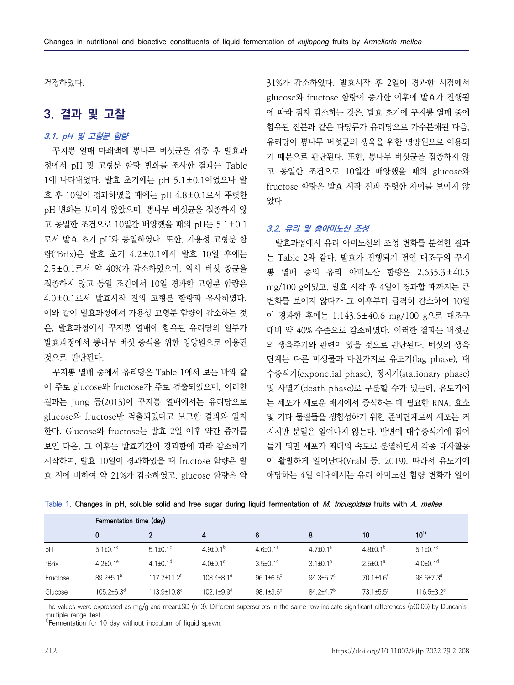검정하였다.

# **3. 결과 및 고찰**

# **3.1. pH 및 고형분 함량**

꾸지뽕 열매 마쇄액에 뽕나무 버섯균을 접종 후 발효과 정에서 pH 및 고형분 함량 변화를 조사한 결과는 Table 1에 나타내었다. 발효 초기에는 pH 5.1±0.1이었으나 발 효 후 10일이 경과하였을 때에는 pH 4.8±0.1로서 뚜렷한 pH 변화는 보이지 않았으며, 뽕나무 버섯균을 접종하지 않 고 동일한 조건으로 10일간 배양했을 때의 pH는 5.1±0.1 로서 발효 초기 pH와 동일하였다. 또한, 가용성 고형분 함 량(°Brix)은 발효 초기 4.2±0.1에서 발효 10일 후에는 2.5±0.1로서 약 40%가 감소하였으며, 역시 버섯 종균을 접종하지 않고 동일 조건에서 10일 경과한 고형분 함량은 4.0±0.1로서 발효시작 전의 고형분 함량과 유사하였다.<br>이와 같이 발효과정에서 가용성 고형분 함량이 감소하는 것 은, 발효과정에서 꾸지뽕 열매에 함유된 유리당의 일부가 발효과정에서 뽕나무 버섯 증식을 위한 영양원으로 이용된 것으로 판단된다.

꾸지뽕 열매 중에서 유리당은 Table 1에서 보는 바와 같 이 주로 glucose와 fructose가 주로 검출되었으며, 이러한 결과는 Jung 등(2013)이 꾸지뽕 열매에서는 유리당으로 glucose와 fructose만 검출되었다고 보고한 결과와 일치 한다. Glucose와 fructose는 발효 2일 이후 약간 증가를 보인 다음, 그 이후는 발효기간이 경과함에 따라 감소하기 시작하여, 발효 10일이 경과하였을 때 fructose 함량은 발 효 전에 비하여 약 21%가 감소하였고, glucose 함량은 약 31%가 감소하였다. 발효시작 후 2일이 경과한 시점에서 glucose와 fructose 함량이 증가한 이후에 발효가 진행됨 에 따라 점차 감소하는 것은, 발효 초기에 꾸지뽕 열매 중에 함유된 전분과 같은 다당류가 유리당으로 가수분해된 다음,<br>유리당이 뽕나무 버섯균의 생육을 위한 영양원으로 이용되 기 때문으로 판단된다. 또한, 뽕나무 버섯균을 접종하지 않 고 동일한 조건으로 10일간 배양했을 때의 glucose와 fructose 함량은 발효 시작 전과 뚜렷한 차이를 보이지 않 았다.

#### **3.2. 유리 및 총아미노산 조성**

발효과정에서 유리 아미노산의 조성 변화를 분석한 결과 는 Table 2와 같다. 발효가 진행되기 전인 대조구의 꾸지 뽕 열매 중의 유리 아미노산 함량은 2,635.3±40.5 mg/100 g이었고, 발효 시작 후 4일이 경과할 때까지는 큰 변화를 보이지 않다가 그 이후부터 급격히 감소하여 10일 이 경과한 후에는 1,143.6±40.6 mg/100 g으로 대조구 대비 약 40% 수준으로 감소하였다. 이러한 결과는 버섯군 의 생육주기와 관련이 있을 것으로 판단된다. 버섯의 생육 단계는 다른 미생물과 마찬가지로 유도기(lag phase), 대 수증식기(exponetial phase), 정지기(stationary phase) 및 사멸기(death phase)로 구분할 수가 있는데, 유도기에 는 세포가 새로운 배지에서 증식하는 데 필요한 RNA, 효소 및 기타 물질들을 생합성하기 위한 준비단계로써 세포는 커 지지만 분열은 일어나지 않는다. 반면에 대수증식기에 접어 들게 되면 세포가 최대의 속도로 분열하면서 각종 대사활동 이 활발하게 일어난다(Vrabl 등, 2019). 따라서 유도기에 해당하는 4일 이내에서는 유리 아미노산 함량 변화가 일어

|             | Fermentation time (day) |                            |                          |                             |                  |                       |                              |  |  |  |
|-------------|-------------------------|----------------------------|--------------------------|-----------------------------|------------------|-----------------------|------------------------------|--|--|--|
|             | $\mathbf{0}$            | $\overline{2}$             | 4                        | 6                           | 8                | 10                    | $10^{1}$                     |  |  |  |
| pH          | $5.1 \pm 0.1^{\circ}$   | $5.1 \pm 0.1^{\circ}$      | $4.9 \pm 0.1^{\circ}$    | $4.6 \pm 0.1^a$             | $4.7 \pm 0.1^a$  | $4.8{\pm}0.1^{b}$     | $5.1 \pm 0.1$ °              |  |  |  |
| <b>Brix</b> | $4.2 \pm 0.1^{\circ}$   | 4.1 $\pm$ 0.1 <sup>d</sup> | $4.0\pm0.1$ <sup>d</sup> | $3.5\pm0.1^{\circ}$         | $3.1 \pm 0.1^b$  | $2.5 \pm 0.1^{\circ}$ | $4.0\pm0.1$ <sup>d</sup>     |  |  |  |
| Fructose    | $892+51$ <sup>b</sup>   | $1177+117$                 | $108.4\pm8.1^{\circ}$    | $96.1 \pm 6.5$ <sup>c</sup> | $94.3 \pm 5.7$ ° | $70.1{\pm}4.6^a$      | $98.6{\pm}7.3^{\circ}$       |  |  |  |
| Glucose     | $1052+63^d$             | $113.9 + 10.8^e$           | $1021+9.9d$              | $98.1 \pm 3.6^{\circ}$      | $84.2 + 4.7b$    | $731+55$ <sup>a</sup> | $116.5 \pm 3.2$ <sup>e</sup> |  |  |  |

**Table 1. Changes in pH, soluble solid and free sugar during liquid fermentation of M. tricuspidata fruits with A. mellea**

The values were expressed as mg/g and mean $\pm$ SD (n=3). Different superscripts in the same row indicate significant differences (p(0.05) by Duncan's multiple range test.

 $<sup>1</sup>$ Fermentation for 10 day without inoculum of liquid spawn.</sup>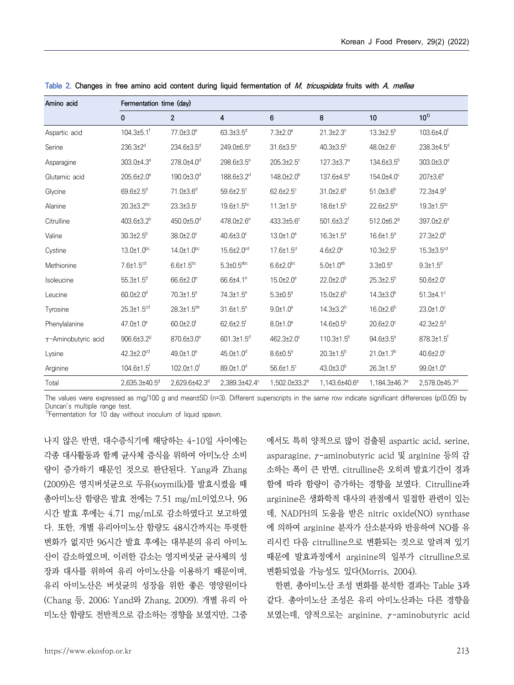| Amino acid                  | Fermentation time (day)      |                        |                              |                           |                             |                             |                              |  |  |  |
|-----------------------------|------------------------------|------------------------|------------------------------|---------------------------|-----------------------------|-----------------------------|------------------------------|--|--|--|
|                             | 0                            | $\overline{2}$         | 4                            | 6                         | 8                           | 10                          | $10^{11}$                    |  |  |  |
| Aspartic acid               | $104.3{\pm}5.1^{\dagger}$    | 77.0±3.0 <sup>e</sup>  | $63.3{\pm}3.5^{\circ}$       | $7.3{\pm}2.0^{\circ}$     | $21.3 \pm 2.3$ °            | $13.3{\pm}2.5^b$            | 103.6±4.0 <sup>f</sup>       |  |  |  |
| Serine                      | $236.3{\pm}2^{d}$            | 234.6±3.5 <sup>d</sup> | 249.0±6.5 <sup>e</sup>       | $31.6 \pm 3.5^{\circ}$    | $40.3{\pm}3.5^{\circ}$      | 48.0±2.6°                   | 238.3±4.5 <sup>d</sup>       |  |  |  |
| Asparagine                  | 303.0±4.3 <sup>e</sup>       | 278.0±4.0 <sup>d</sup> | 298.6±3.5 <sup>e</sup>       | 205.3±2.5°                | 127.3±3.7 <sup>a</sup>      | 134.6±3.5 <sup>b</sup>      | 303.0±3.0 <sup>e</sup>       |  |  |  |
| Glutamic acid               | 205.6±2.0 <sup>e</sup>       | 190.0±3.0 <sup>d</sup> | 188.6±3.2 <sup>d</sup>       | $148.0{\pm}2.0^b$         | 137.6±4.5 <sup>a</sup>      | 154.0±4.0°                  | $207 \pm 3.6^{\circ}$        |  |  |  |
| Glycine                     | $69.6{\pm}2.5^d$             | 71.0±3.6 <sup>d</sup>  | 59.6±2.5°                    | $62.6{\pm}2.5^{\circ}$    | $31.0 \pm 2.6^a$            | $51.0 \pm 3.6^b$            | 72.3±4.9 <sup>d</sup>        |  |  |  |
| Alanine                     | $20.3 \pm 3.2^{bc}$          | $23.3 \pm 3.5$ °       | 19.6±1.5 <sup>bc</sup>       | $11.3 \pm 1.5^a$          | $18.6{\pm}1.5^{b}$          | $22.6 \pm 2.5^{bc}$         | $19.3 \pm 1.5^{bc}$          |  |  |  |
| Citrulline                  | $403.6 \pm 3.2$ <sup>b</sup> | 450.0±5.0 <sup>d</sup> | 478.0±2.6 <sup>e</sup>       | 433.3±5.6°                | 501.6±3.2 <sup>f</sup>      | 512.0±6.2 <sup>9</sup>      | 397.0±2.6 <sup>a</sup>       |  |  |  |
| Valine                      | $30.3{\pm}2.5^{\circ}$       | 38.0±2.0°              | 40.6±3.0°                    | $13.0 \pm 1.0^a$          | $16.3 \pm 1.5^a$            | 16.6±1.5 <sup>a</sup>       | $27.3{\pm}2.0^{\circ}$       |  |  |  |
| Cystine                     | $13.0 \pm 1.0^{bc}$          | $14.0 \pm 1.0^{bc}$    | 15.6±2.0 <sup>cd</sup>       | $17.6{\pm}1.5^{\circ}$    | $4.6{\pm}2.0^{\circ}$       | $10.3{\pm}2.5^{\circ}$      | 15.3±3.5 <sup>cd</sup>       |  |  |  |
| Methionine                  | $7.6\pm1.5$ <sup>cd</sup>    | $6.6{\pm}1.5^{bc}$     | $5.3 \pm 0.5$ <sup>abc</sup> | $6.6{\pm}2.0^{\rm bc}$    | $5.0 \pm 1.0$ <sup>ab</sup> | $3.3 \pm 0.5^{\circ}$       | $9.3 \pm 1.5$ <sup>d</sup>   |  |  |  |
| Isoleucine                  | $55.3{\pm}1.5^d$             | 66.6±2.0 <sup>e</sup>  | 66.6±4.1 <sup>e</sup>        | 15.0±2.0 <sup>a</sup>     | $22.0 \pm 2.0$ <sup>b</sup> | $25.3{\pm}2.5^b$            | $50.6{\pm}2.0^{\circ}$       |  |  |  |
| Leucine                     | $60.0 \pm 2.0$ <sup>d</sup>  | 70.3±1.5 <sup>e</sup>  | 74.3±1.5 <sup>e</sup>        | $5.3 \pm 0.5^{\circ}$     | 15.0±2.6 <sup>b</sup>       | $14.3{\pm}3.0^{\rm b}$      | $51.3{\pm}4.1^{\circ}$       |  |  |  |
| Tyrosine                    | $25.3 \pm 1.5^{cd}$          | $28.3 \pm 1.5^{de}$    | $31.6 \pm 1.5^{\circ}$       | $9.0 \pm 1.0^a$           | $14.3 \pm 3.2^{b}$          | $16.0{\pm}2.6^{\rm b}$      | $23.0 \pm 1.0$ °             |  |  |  |
| Phenylalanine               | 47.0±1.0 <sup>e</sup>        | 60.0±2.0 <sup>f</sup>  | $62.6{\pm}2.5$ <sup>f</sup>  | $8.0 \pm 1.0^{\circ}$     | $14.6 \pm 0.5^b$            | $20.6{\pm}2.0^{\circ}$      | $42.3{\pm}2.5^{\circ}$       |  |  |  |
| $\gamma$ -Aminobutyric acid | 906.6±3.2 <sup>9</sup>       | 870.6±3.0°             | $601.3 \pm 1.5$ <sup>d</sup> | 462.3±2.0°                | $110.3 \pm 1.5^b$           | 94.6±3.5 <sup>a</sup>       | $878.3 \pm 1.5$ <sup>f</sup> |  |  |  |
| Lysine                      | 42.3±2.0 <sup>cd</sup>       | 49.0±1.0 <sup>e</sup>  | 45.0±1.0 <sup>d</sup>        | $8.6 \pm 0.5^{\circ}$     | $20.3 \pm 1.5^b$            | $21.0 \pm 1.7$ <sup>b</sup> | $40.6{\pm}2.0^{\circ}$       |  |  |  |
| Arginine                    | 104.6±1.5 <sup>f</sup>       | 102.0±1.0 <sup>f</sup> | 89.0±1.0 <sup>d</sup>        | 56.6±1.5°                 | $43.0 \pm 3.0$ <sup>b</sup> | $26.3 \pm 1.5^a$            | 99.0±1.0 <sup>e</sup>        |  |  |  |
| Total                       | 2,635.3±40.5d                | 2,629.6±42.3d          | 2,389.3±42.4°                | 1,502.0±33.2 <sup>b</sup> | 1,143.6±40.6 <sup>a</sup>   | 1,184.3±46.7 <sup>a</sup>   | 2,578.0±45.7d                |  |  |  |

**Table 2. Changes in free amino acid content during liquid fermentation of M. tricuspidata fruits with A. mellea**

The values were expressed as mg/100 g and mean±SD (n=3). Different superscripts in the same row indicate significant differences (p(0.05) by Duncan's multiple range test.

<sup>1)</sup>Fermentation for 10 day without inoculum of liquid spawn.

나지 않은 반면, 대수증식기에 해당하는 4-10일 사이에는 각종 대사활동과 함께 균사체 증식을 위하여 아미노산 소비 량이 증가하기 때문인 것으로 판단된다. Yang과 Zhang (2009)은 영지버섯균으로 두유(soymilk)를 발효시켰을 때 총아미노산 함량은 발효 전에는 7.51 mg/mL이었으나, 96 시간 발효 후에는 4.71 mg/mL로 감소하였다고 보고하였 다. 또한, 개별 유리아미노산 함량도 48시간까지는 뚜렷한 변화가 없지만 96시간 발효 후에는 대부분의 유리 아미노 산이 감소하였으며, 이러한 감소는 영지버섯균 균사체의 성 장과 대사를 위하여 유리 아미노산을 이용하기 때문이며,<br>유리 아미노산은 버섯균의 성장을 위한 좋은 영양원이다 (Chang 등, 2006; Yand와 Zhang, 2009). 개별 유리 아 미노산 함량도 전반적으로 감소하는 경향을 보였지만, 그중 에서도 특히 양적으로 많이 검출된 aspartic acid, serine, asparagine, γ-aminobutyric acid 및 arginine 등의 감 소하는 폭이 큰 반면, citrulline은 오히려 발효기간이 경과 함에 따라 함량이 증가하는 경향을 보였다. Citrulline과 arginine은 생화학적 대사의 관점에서 밀접한 관련이 있는 데, NADPH의 도움을 받은 nitric oxide(NO) synthase 에 의하여 arginine 분자가 산소분자와 반응하여 NO를 유 리시킨 다음 citrulline으로 변환되는 것으로 알려져 있기 때문에 발효과정에서 arginine의 일부가 citrulline으로 변환되었을 가능성도 있다(Morris, 2004).

한편, 총아미노산 조성 변화를 분석한 결과는 Table 3과 같다. 총아미노산 조성은 유리 아미노산과는 다른 경향을 보였는데, 양적으로는 arginine, γ-aminobutyric acid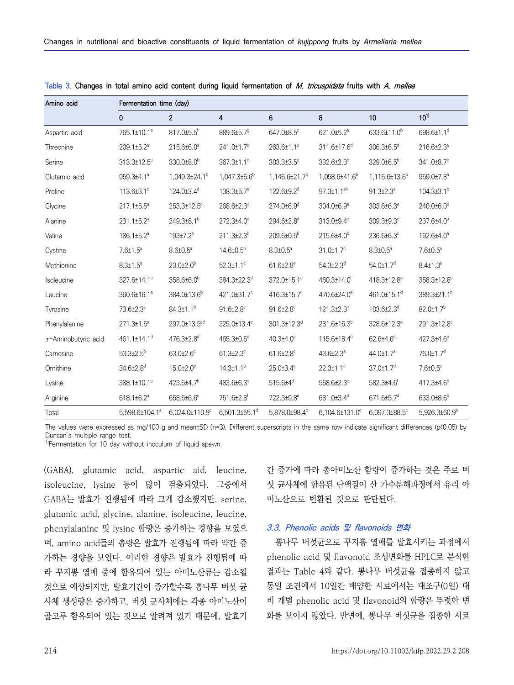| Amino acid                  | Fermentation time (day)    |                           |                             |                               |                             |                             |                           |  |  |
|-----------------------------|----------------------------|---------------------------|-----------------------------|-------------------------------|-----------------------------|-----------------------------|---------------------------|--|--|
|                             | $\mathbf 0$                | $\overline{2}$            | 4                           | 6                             | 8                           | 10                          | $10^{11}$                 |  |  |
| Aspartic acid               | 765.1±10.1 <sup>e</sup>    | 817.0±5.5 <sup>f</sup>    | 889.6±5.7 <sup>9</sup>      | 647.0±8.5°                    | 621.0±5.2 <sup>a</sup>      | 633.6±11.0 <sup>b</sup>     | 698.6±1.1 <sup>d</sup>    |  |  |
| Threonine                   | 209.1±5.2 <sup>a</sup>     | 215.6±6.0 <sup>a</sup>    | 241.0±1.7 <sup>b</sup>      | 263.6±1.1°                    | 311.6±17.6 <sup>d</sup>     | 306.3±6.5 <sup>d</sup>      | 216.6±2.3 <sup>a</sup>    |  |  |
| Serine                      | 313.3±12.5 <sup>a</sup>    | 330.0±8.0 <sup>b</sup>    | 367.3±1.1°                  | 303.3±3.5 <sup>a</sup>        | 332.6±2.3 <sup>b</sup>      | 329.0±6.5 <sup>b</sup>      | 341.0±8.7 <sup>b</sup>    |  |  |
| Glutamic acid               | 959.3±4.1 <sup>ª</sup>     | 1,049.3±24.1 <sup>b</sup> | $1,047.3\pm6.6^b$           | 1,146.6±21.7°                 | 1,058.6±41.6 <sup>b</sup>   | 1,115.6±13.6°               | 959.0±7.8 <sup>a</sup>    |  |  |
| Proline                     | 113.6±3.1°                 | 124.0±3.4 <sup>d</sup>    | 138.3±5.7 <sup>e</sup>      | 122.6±9.2 <sup>d</sup>        | $97.3 \pm 1.1^{ab}$         | $91.3{\pm}2.3^a$            | $104.3{\pm}3.1^{b}$       |  |  |
| Glycine                     | 217.1±5.5 <sup>a</sup>     | 253.3±12.5°               | 268.6±2.3d                  | 274.0±6.9d                    | 304.0±6.9°                  | 303.6±6.3 <sup>e</sup>      | 240.0±6.0 <sup>b</sup>    |  |  |
| Alanine                     | 231.1±5.2 <sup>a</sup>     | 249.3±8.1 <sup>b</sup>    | 272.3±4.0°                  | 294.6±2.8 <sup>d</sup>        | 313.0±9.4 <sup>e</sup>      | 309.3±9.3 <sup>e</sup>      | 237.6±4.0 <sup>a</sup>    |  |  |
| Valine                      | 186.1±5.2 <sup>a</sup>     | 193±7.2 <sup>a</sup>      | 211.3±2.3 <sup>b</sup>      | 209.6±0.5 <sup>b</sup>        | 215.6±4.0 <sup>b</sup>      | 236.6±6.3°                  | 192.6±4.0 <sup>a</sup>    |  |  |
| Cystine                     | $7.6{\pm}1.5^a$            | $8.6 \pm 0.5^{\circ}$     | $14.6 \pm 0.5^b$            | $8.3 \pm 0.5^{\circ}$         | $31.0 \pm 1.7$ <sup>c</sup> | $8.3{\pm}0.5^{\circ}$       | $7.6 \pm 0.5^a$           |  |  |
| Methionine                  | $8.3 \pm 1.5^a$            | $23.0 \pm 2.0^{\circ}$    | $52.3 \pm 1.1$ <sup>c</sup> | $61.6{\pm}2.8^{\circ}$        | $54.3{\pm}2.3^{\circ}$      | $54.0 \pm 1.7$ <sup>d</sup> | $8.4 \pm 1.3^a$           |  |  |
| Isoleucine                  | 327.6±14.1 <sup>a</sup>    | 358.6±6.0 <sup>b</sup>    | 384.3±22.3 <sup>d</sup>     | 372.0±15.1°                   | 460.3±14.0 <sup>t</sup>     | 418.3±12.8 <sup>e</sup>     | 358.3±12.8 <sup>b</sup>   |  |  |
| Leucine                     | 360.6±16.1 <sup>a</sup>    | 384.0±13.6 <sup>b</sup>   | 421.0±31.7°                 | 416.3±15.7°                   | 470.6±24.0 <sup>e</sup>     | 461.0±15.1 <sup>d</sup>     | 389.3±21.1 <sup>b</sup>   |  |  |
| Tyrosine                    | 73.6±2.3 <sup>a</sup>      | $84.3{\pm}1.1^{b}$        | $91.6{\pm}2.8^{\circ}$      | $91.6{\pm}2.8^c$              | $121.3 \pm 2.3^e$           | $103.6{\pm}2.3^d$           | 82.0±1.7 <sup>b</sup>     |  |  |
| Phenylalanine               | $271.3 \pm 1.5^{\circ}$    | 297.0±13.5 <sup>cd</sup>  | 325.0±13.4 <sup>e</sup>     | $301.3 \pm 12.3$ <sup>d</sup> | 281.6±16.3 <sup>b</sup>     | 328.6±12.3 <sup>e</sup>     | 291.3±12.8°               |  |  |
| $\gamma$ -Aminobutyric acid | 461.1±14.1 <sup>d</sup>    | 476.3±2.8 <sup>d</sup>    | $465.3{\pm}0.5^{\circ}$     | $40.3{\pm}4.0^{\circ}$        | 115.6±18.4 <sup>b</sup>     | 62.6±4.6 <sup>a</sup>       | 427.3±4.6°                |  |  |
| Carnosine                   | $53.3{\pm}2.5^b$           | $63.0{\pm}2.6^{\circ}$    | $61.3{\pm}2.3^{\circ}$      | $61.6{\pm}2.8^{\circ}$        | 43.6±2.3 <sup>a</sup>       | 44.0±1.7 <sup>a</sup>       | 76.0±1.7 <sup>d</sup>     |  |  |
| Ornithine                   | 34.6±2.8 <sup>d</sup>      | $15.0{\pm}2.0^{\rm b}$    | $14.3 \pm 1.1^{b}$          | 25.0±3.4°                     | $22.3 \pm 1.1$ °            | $37.0 \pm 1.7$ <sup>d</sup> | $7.6 \pm 0.5^{\circ}$     |  |  |
| Lysine                      | 388.1±10.1 <sup>a</sup>    | 423.6±4.7 <sup>b</sup>    | 483.6±6.3°                  | $515.6 + 4^d$                 | 568.6±2.3 <sup>e</sup>      | 582.3±4.6 <sup>f</sup>      | $417.3{\pm}4.6^{\circ}$   |  |  |
| Arginine                    | 618.1±6.2 <sup>a</sup>     | 658.6±6.6°                | 751.6±2.8 <sup>f</sup>      | 722.3±9.8 <sup>e</sup>        | 681.0±3.4 <sup>d</sup>      | 671.6±5.7 <sup>d</sup>      | 633.0±8.6 <sup>b</sup>    |  |  |
| Total                       | 5,598.6±104.1 <sup>a</sup> | 6,024.0±110.9°            | $6,501.3\pm55.1^d$          | 5,878.0±98.4 <sup>b</sup>     | 6,104.6±131.0°              | $6,097.3\pm88.5^{\circ}$    | 5,926.3±60.9 <sup>b</sup> |  |  |

**Table 3. Changes in total amino acid content during liquid fermentation of M. tricuspidata fruits with A. mellea**

The values were expressed as mg/100 g and mean±SD (n=3). Different superscripts in the same row indicate significant differences (p<0.05) by Duncan's multiple range test.

<sup>1)</sup>Fermentation for 10 day without inoculum of liquid spawn.

(GABA), glutamic acid, aspartic aid, leucine, isoleucine, lysine 등이 많이 검출되었다. 그중에서 GABA는 발효가 진행됨에 따라 크게 감소했지만, serine, glutamic acid, glycine, alanine, isoleucine, leucine, phenylalanine 및 lysine 함량은 증가하는 경향을 보였으 며, amino acid들의 총량은 발효가 진행됨에 따라 약간 증 가하는 경향을 보였다. 이러한 경향은 발효가 진행됨에 따 라 꾸지뽕 열매 중에 함유되어 있는 아미노산류는 감소될 것으로 예상되지만, 발효기간이 증가할수록 뽕나무 버섯 균 사체 생성량은 증가하고, 버섯 균사체에는 각종 아미노산이 골고루 함유되어 있는 것으로 알려져 있기 때문에, 발효기

간 증가에 따라 총아미노산 함량이 증가하는 것은 주로 버 섯 균사체에 함유된 단백질이 산 가수분해과정에서 유리 아 미노산으로 변환된 것으로 판단된다.

#### **3.3. Phenolic acids 및 flavonoids 변화**

뽕나무 버섯균으로 꾸지뽕 열매를 발효시키는 과정에서 phenolic acid 및 flavonoid 조성변화를 HPLC로 분석한 결과는 Table 4와 같다. 뽕나무 버섯균을 접종하지 않고 동일 조건에서 10일간 배양한 시료에서는 대조구(0일) 대 비 개별 phenolic acid 및 flavonoid의 함량은 뚜렷한 변 화를 보이지 않았다. 반면에, 뽕나무 버섯균을 접종한 시료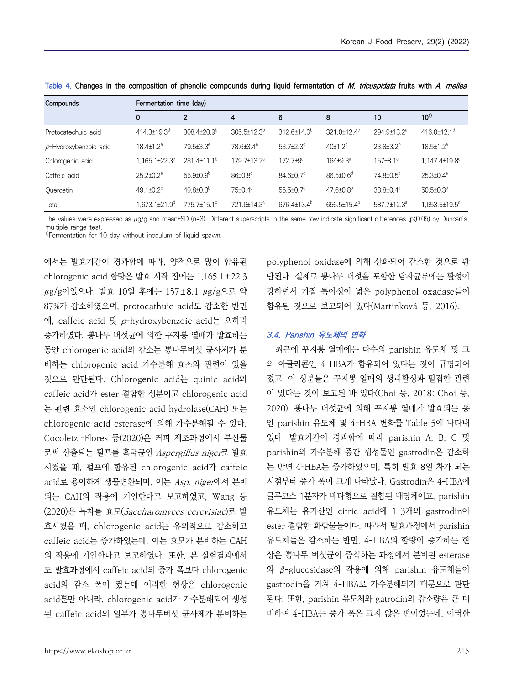| Compounds                | Fermentation time (day)         |                         |                           |                             |                             |                          |                                 |  |  |
|--------------------------|---------------------------------|-------------------------|---------------------------|-----------------------------|-----------------------------|--------------------------|---------------------------------|--|--|
|                          | 0                               | $\overline{2}$          | 4                         | 6                           | 8                           | 10                       | $10^{1}$                        |  |  |
| Protocatechuic acid      | $414.3 \pm 19.3$ <sup>d</sup>   | $3084+20.9b$            | $305.5 \pm 12.3^b$        | $312.6 \pm 14.3^b$          | 321.0±12.4°                 | 294.9±13.2 <sup>a</sup>  | 416.0 $\pm$ 12.1 <sup>d</sup>   |  |  |
| $p$ -Hydroxybenzoic acid | $18.4{\pm}1.2^a$                | $79.5 \pm 3.3^e$        | 78.6±3.4 <sup>e</sup>     | $53.7 \pm 2.3$ <sup>d</sup> | $40±1.2^{\circ}$            | $23.8 \pm 3.2^{b}$       | $18.5 \pm 1.2$ <sup>a</sup>     |  |  |
| Chlorogenic acid         | $1.165.1 \pm 22.3$ <sup>c</sup> | $281.4 \pm 11.1^b$      | $179.7 \pm 13.2^{\circ}$  | $172.7 \pm 9^{\circ}$       | $164 + 9.3^{\circ}$         | $157 \pm 8.1^{\circ}$    | $1.147.4 \pm 19.8$ <sup>c</sup> |  |  |
| Caffeic acid             | $25.2 \pm 0.2$ <sup>a</sup>     | $55.9 \pm 0.9^{\circ}$  | $86 \pm 0.8$ <sup>d</sup> | $84.6{\pm}0.7$ <sup>d</sup> | $86.5 \pm 0.6$ <sup>d</sup> | 74.8±0.5°                | $25.3{\pm}0.4^{\circ}$          |  |  |
| Quercetin                | 49.1 $\pm$ 0.2 <sup>b</sup>     | $49.8 \pm 0.3^{\circ}$  | $75\pm0.4$ <sup>d</sup>   | $55.5 \pm 0.7$ °            | $47.6 \pm 0.8$ <sup>b</sup> | $38.8 \pm 0.4^{\circ}$   | $50.5 \pm 0.3^{\circ}$          |  |  |
| Total                    | $1.673.1 \pm 21.9$ <sup>d</sup> | $7757+151$ <sup>c</sup> | 721.6±14.3°               | $676.4 \pm 13.4^b$          | $656.5 \pm 15.4^b$          | $587.7 \pm 12.3^{\circ}$ | 1.653.5±19.5 <sup>d</sup>       |  |  |

**Table 4. Changes in the composition of phenolic compounds during liquid fermentation of M. tricuspidata fruits with A. mellea**

The values were expressed as μg/g and mean±SD (n=3). Different superscripts in the same row indicate significant differences (p(0.05) by Duncan's multiple range test.

<sup>1)</sup>Fermentation for 10 day without inoculum of liquid spawn.

에서는 발효기간이 경과함에 따라, 양적으로 많이 함유된 chlorogenic acid 함량은 발효 시작 전에는 1,165.1±22.3 μg/g이었으나, 발효 10일 후에는 157±8.1 μg/g으로 약 87%가 감소하였으며, protocathuic acid도 감소한 반면 에, caffeic acid 및 p-hydroxybenzoic acid는 오히려 증가하였다. 뽕나무 버섯균에 의한 꾸지뽕 열매가 발효하는 동안 chlorogenic acid의 감소는 뽕나무버섯 균사체가 분 비하는 chlorogenic acid 가수분해 효소와 관련이 있을 것으로 판단된다. Chlorogenic acid는 quinic acid와 caffeic acid가 ester 결합한 성분이고 chlorogenic acid 는 관련 효소인 chlorogenic acid hydrolase(CAH) 또는 chlorogenic acid esterase에 의해 가수분해될 수 있다. Cocoletzi-Flores 등(2020)은 커피 제조과정에서 부산물 로써 산출되는 펄프를 흑국균인 Aspergillus niger로 발효 시켰을 때, 펄프에 함유된 chlorogenic acid가 caffeic acid로 용이하게 생물변환되며, 이는 Asp. niger에서 분비 되는 CAH의 작용에 기인한다고 보고하였고, Wang 등 (2020)은 녹차를 효모(Saccharomyces cerevisiae)로 발 효시켰을 때, chlorogenic acid는 유의적으로 감소하고 caffeic acid는 증가하였는데, 이는 효모가 분비하는 CAH 의 작용에 기인한다고 보고하였다. 또한, 본 실험결과에서 도 발효과정에서 caffeic acid의 증가 폭보다 chlorogenic acid의 감소 폭이 컸는데 이러한 현상은 chlorogenic acid뿐만 아니라, chlorogenic acid가 가수분해되어 생성 된 caffeic acid의 일부가 뽕나무버섯 균사체가 분비하는

polyphenol oxidase에 의해 산화되어 감소한 것으로 판 단된다. 실제로 뽕나무 버섯을 포함한 담자균류에는 활성이 강하면서 기질 특이성이 넓은 polyphenol oxadase들이 함유된 것으로 보고되어 있다(Martínková 등, 2016).

#### **3.4. Parishin 유도체의 변화**

최근에 꾸지뽕 열매에는 다수의 parishin 유도체 및 그 의 아글리콘인 4-HBA가 함유되어 있다는 것이 규명되어 졌고, 이 성분들은 꾸지뽕 열매의 생리활성과 밀접한 관련 2020). 뽕나무 버섯균에 의해 꾸지뽕 열매가 발효되는 동 안 parishin 유도체 및 4-HBA 변화를 Table 5에 나타내 었다. 발효기간이 경과함에 따라 parishin A, B, C 및 parishin의 가수분해 중간 생성물인 gastrodin은 감소하 는 반면 4-HBA는 증가하였으며, 특히 발효 8일 차가 되는 시점부터 증가 폭이 크게 나타났다. Gastrodin은 4-HBA에 글루코스 1분자가 베타형으로 결합된 배당체이고, parishin 유도체는 유기산인 citric acid에 1-3개의 gastrodin이 ester 결합한 화합물들이다. 따라서 발효과정에서 parishin 유도체들은 감소하는 반면, 4-HBA의 함량이 증가하는 현 상은 뽕나무 버섯균이 증식하는 과정에서 분비된 esterase 와 β-glucosidase의 작용에 의해 parishin 유도체들이 gastrodin을 거쳐 4-HBA로 가수분해되기 때문으로 판단 된다. 또한, parishin 유도체와 gatrodin의 감소량은 큰 데 비하여 4-HBA는 증가 폭은 크지 않은 편이었는데, 이러한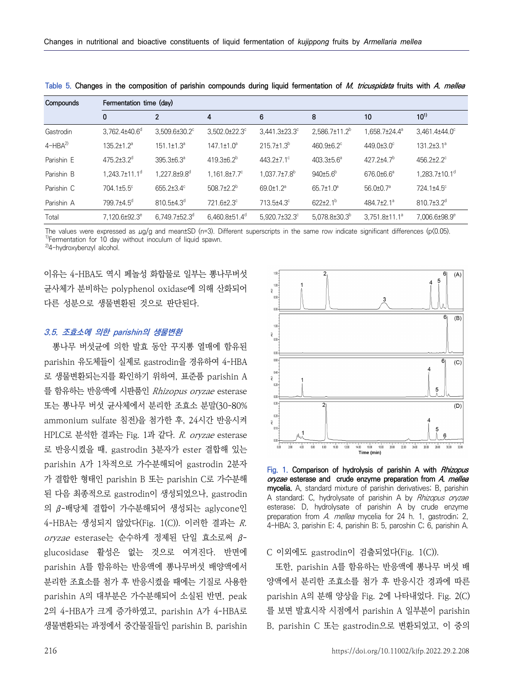| Compounds  | Fermentation time (day)         |                                 |                                 |                             |                              |                              |                                 |  |
|------------|---------------------------------|---------------------------------|---------------------------------|-----------------------------|------------------------------|------------------------------|---------------------------------|--|
|            | 0                               | $\overline{2}$                  | 4                               | 6                           | 8                            | 10                           | $10^{1}$                        |  |
| Gastrodin  | $3.762.4{\pm}40.6^{\circ}$      | $3.509.6 \pm 30.2$ °            | $3.502.0 \pm 22.3$ °            | $3.441.3 \pm 23.3$ °        | $2.586.7\pm11.2^{b}$         | 1.658.7±24.4 <sup>a</sup>    | $3.461.4{\pm}44.0^{\circ}$      |  |
| $4-HBA2$   | $135.2 \pm 1.2$ <sup>a</sup>    | $151.1 \pm 1.3^a$               | $147.1 \pm 1.0^a$               | $215.7 \pm 1.3^b$           | $460.9 \pm 6.2$ <sup>c</sup> | $449.0 \pm 3.0^{\circ}$      | $131.2 \pm 3.1^a$               |  |
| Parishin E | $475.2 \pm 3.2$ <sup>d</sup>    | $395.3 \pm 6.3^{\circ}$         | $419.3\pm6.2^{b}$               | $443.2{\pm}7.1^{\circ}$     | $403.3{\pm}5.6^{\circ}$      | $427.2 \pm 4.7$ <sup>b</sup> | $456.2 \pm 2.2$ <sup>c</sup>    |  |
| Parishin B | $1.243.7 \pm 11.1$ <sup>d</sup> | 1.227.8±9.8 <sup>d</sup>        | $1.161.8 \pm 7.7$ °             | $1.037.7{\pm}7.8^{\circ}$   | 940±5.6 <sup>b</sup>         | $676.0\pm 6.6^{\circ}$       | $1.283.7 \pm 10.1$ <sup>d</sup> |  |
| Parishin C | 704.1±5.5°                      | $655.2 \pm 3.4^{\circ}$         | $508.7{\pm}2.2^{b}$             | $69.0 \pm 1.2$ <sup>a</sup> | $65.7 \pm 1.0^{\circ}$       | $56.0 \pm 0.7$ <sup>a</sup>  | 724.1±4.5°                      |  |
| Parishin A | 799.7±4.5 <sup>d</sup>          | $810.5{\pm}4.3^{\circ}$         | 721.6±2.3°                      | 713.5±4.3°                  | $622 \pm 2.1$ <sup>b</sup>   | 484.7±2.1 <sup>a</sup>       | $810.7\pm3.2$ <sup>d</sup>      |  |
| Total      | 7.120.6±92.3 <sup>e</sup>       | $6.749.7 \pm 52.3$ <sup>d</sup> | $6.460.8 \pm 51.4$ <sup>d</sup> | 5.920.7±32.3°               | $5.078.8 \pm 30.3^{\circ}$   | 3.751.8±11.1 <sup>a</sup>    | 7.006.6±98.9 <sup>e</sup>       |  |

**Table 5. Changes in the composition of parishin compounds during liquid fermentation of M. tricuspidata fruits with A. mellea**

The values were expressed as μg/g and mean±SD (n=3). Different superscripts in the same row indicate significant differences (p<0.05). <sup>1)</sup>Fermentation for 10 day without inoculum of liquid spawn.

2)4-hydroxybenzyl alcohol.

이유는 4-HBA도 역시 페놀성 화합물로 일부는 뽕나무버섯 균사체가 분비하는 polyphenol oxidase에 의해 산화되어 다른 성분으로 생물변환된 것으로 판단된다.

### **3.5. 조효소에 의한 parishin의 생물변환**

뽕나무 버섯균에 의한 발효 동안 꾸지뽕 열매에 함유된 parishin 유도체들이 실제로 gastrodin을 경유하여 4-HBA 로 생물변환되는지를 확인하기 위하여, 표준품 parishin A 를 함유하는 반응액에 시판품인 Rhizopus oryzae esterase 또는 뽕나무 버섯 균사체에서 분리한 조효소 분말(30-80% ammonium sulfate 침전)을 첨가한 후, 24시간 반응시켜 HPLC로 분석한 결과는 Fig. 1과 같다. R. oryzae esterase 로 반응시켰을 때, gastrodin 3분자가 ester 결합해 있는 parishin A가 1차적으로 가수분해되어 gastrodin 2분자 가 결합한 형태인 parishin B 또는 parishin C로 가수분해 된 다음 최종적으로 gastrodin이 생성되었으나, gastrodin 의 β-배당체 결합이 가수분해되어 생성되는 aglycone인 4-HBA는 생성되지 않았다(Fig. 1(C)). 이러한 결과는 R. oryzae esterase는 순수하게 정제된 단일 효소로써 β-<br>glucosidase 활성은 없는 것으로 여겨진다. 반면에 parishin A를 함유하는 반응액에 뽕나무버섯 배양액에서 분리한 조효소를 첨가 후 반응시켰을 때에는 기질로 사용한 parishin A의 대부분은 가수분해되어 소실된 반면, peak 2의 4-HBA가 크게 증가하였고, parishin A가 4-HBA로 생물변환되는 과정에서 중간물질들인 parishin B, parishin



**Fig. 1. Comparison of hydrolysis of parishin A with Rhizopus oryzae esterase and crude enzyme preparation from A. mellea mycelia.** A, standard mixture of parishin derivatives; B, parishin A standard; C, hydrolysate of parishin A by Rhizopus oryzae esterase; D, hydrolysate of parishin A by crude enzyme preparation from A. mellea mycelia for 24 h. 1, gastrodin; 2, 4-HBA; 3, parishin E; 4, parishin B; 5, paroshin C; 6, parishin A.

C 이외에도 gastrodin이 검출되었다(Fig. 1(C)).

또한, parishin A를 함유하는 반응액에 뽕나무 버섯 배 양액에서 분리한 조효소를 첨가 후 반응시간 경과에 따른 parishin A의 분해 양상을 Fig. 2에 나타내었다. Fig. 2(C) 를 보면 발효시작 시점에서 parishin A 일부분이 parishin B, parishin C 또는 gastrodin으로 변환되었고, 이 중의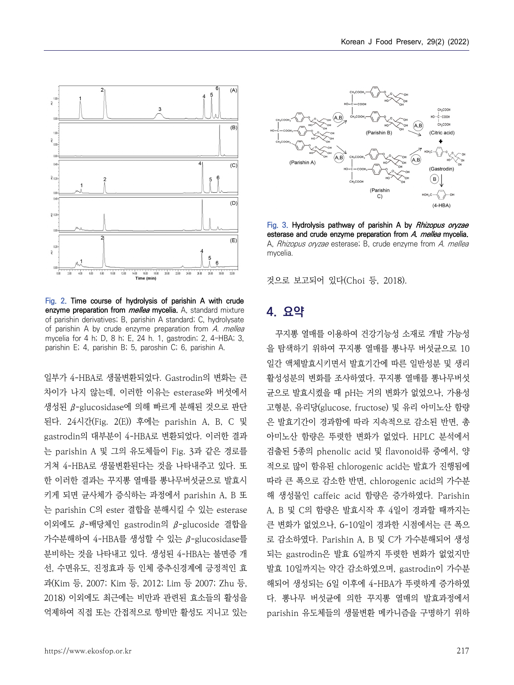

**Fig. 2. Time course of hydrolysis of parishin A with crude enzyme preparation from mellea mycelia.** A, standard mixture of parishin derivatives; B, parishin A standard; C, hydrolysate of parishin A by crude enzyme preparation from A. mellea mycelia for 4 h; D, 8 h; E, 24 h. 1, gastrodin; 2, 4-HBA; 3, parishin E; 4, parishin B; 5, paroshin C; 6, parishin A.

일부가 4-HBA로 생물변환되었다. Gastrodin의 변화는 큰 차이가 나지 않는데, 이러한 이유는 esterase와 버섯에서 생성된 β-glucosidase에 의해 빠르게 분해된 것으로 판단 된다. 24시간(Fig. 2(E)) 후에는 parishin A, B, C 및 gastrodin의 대부분이 4-HBA로 변환되었다. 이러한 결과 는 parishin A 및 그의 유도체들이 Fig. 3과 같은 경로를 거쳐 4-HBA로 생물변환된다는 것을 나타내주고 있다. 또 한 이러한 결과는 꾸지뽕 열매를 뽕나무버섯균으로 발효시 키게 되면 균사체가 증식하는 과정에서 parishin A, B 또 는 parishin C의 ester 결합을 분해시킬 수 있는 esterase 이외에도 β-배당체인 gastrodin의 β-glucoside 결합을 가수분해하여 4-HBA를 생성할 수 있는 β-glucosidase를 분비하는 것을 나타내고 있다. 생성된 4-HBA는 불면증 개 선, 수면유도, 진정효과 등 인체 중추신경계에 긍정적인 효 과(Kim 등, 2007; Kim 등, 2012; Lim 등 2007; Zhu 등, 2018) 이외에도 최근에는 비만과 관련된 효소들의 활성을 억제하여 직접 또는 간접적으로 항비만 활성도 지니고 있는



**Fig. 3. Hydrolysis pathway of parishin A by Rhizopus oryzae esterase and crude enzyme preparation from A. mellea mycelia.**  A. Rhizopus oryzae esterase; B, crude enzyme from A. mellea mycelia.

것으로 보고되어 있다(Choi 등, 2018).

# **4. 요약**

꾸지뽕 열매를 이용하여 건강기능성 소재로 개발 가능성 을 탐색하기 위하여 꾸지뽕 열매를 뽕나무 버섯균으로 10 일간 액체발효시키면서 발효기간에 따른 일반성분 및 생리 활성성분의 변화를 조사하였다. 꾸지뽕 열매를 뽕나무버섯 균으로 발효시켰을 때 pH는 거의 변화가 없었으나, 가용성 고형분, 유리당(glucose, fructose) 및 유리 아미노산 함량 은 발효기간이 경과함에 따라 지속적으로 감소된 반면, 총 아미노산 함량은 뚜렷한 변화가 없었다. HPLC 분석에서 검출된 5종의 phenolic acid 및 flavonoid류 중에서, 양 적으로 많이 함유된 chlorogenic acid는 발효가 진행됨에 따라 큰 폭으로 감소한 반면, chlorogenic acid의 가수분 해 생성물인 caffeic acid 함량은 증가하였다. Parishin A, B 및 C의 함량은 발효시작 후 4일이 경과할 때까지는 큰 변화가 없었으나, 6-10일이 경과한 시점에서는 큰 폭으 로 감소하였다. Parishin A, B 및 C가 가수분해되어 생성 되는 gastrodin은 발효 6일까지 뚜렷한 변화가 없었지만 발효 10일까지는 약간 감소하였으며, gastrodin이 가수분 해되어 생성되는 6일 이후에 4-HBA가 뚜렷하게 증가하였 다. 뽕나무 버섯균에 의한 꾸지뽕 열매의 발효과정에서 parishin 유도체들의 생물변환 메카니즘을 구명하기 위하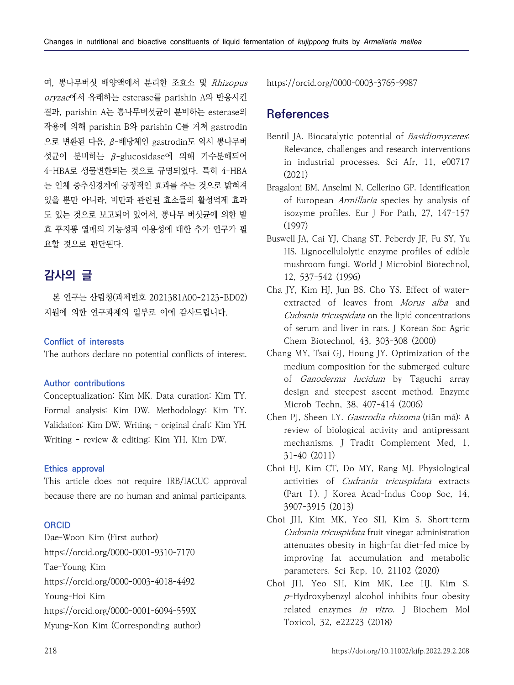여, 뽕나무버섯 배양액에서 분리한 조효소 및 Rhizopus oryzae에서 유래하는 esterase를 parishin A와 반응시킨 결과, parishin A는 뽕나무버섯균이 분비하는 esterase의 작용에 의해 parishin B와 parishin C를 거쳐 gastrodin 으로 변환된 다음, β-배당체인 gastrodin도 역시 뽕나무버 섯균이 분비하는 β-glucosidase에 의해 가수분해되어 4-HBA로 생물변환되는 것으로 규명되었다. 특히 4-HBA 는 인체 중추신경계에 긍정적인 효과를 주는 것으로 밝혀져 있을 뿐만 아니라, 비만과 관련된 효소들의 활성억제 효과 도 있는 것으로 보고되어 있어서, 뽕나무 버섯균에 의한 발 효 꾸지뽕 열매의 기능성과 이용성에 대한 추가 연구가 필 요할 것으로 판단된다.

# **감사의 글**

본 연구는 산림청(과제번호 2021381A00-2123-BD02) 지원에 의한 연구과제의 일부로 이에 감사드립니다.

# **Conflict of interests**

The authors declare no potential conflicts of interest.

#### **Author contributions**

Conceptualization: Kim MK. Data curation: Kim TY. Formal analysis: Kim DW. Methodology: Kim TY. Validation: Kim DW. Writing - original draft: Kim YH. Writing - review & editing: Kim YH, Kim DW.

## **Ethics approval**

This article does not require IRB/IACUC approval because there are no human and animal participants.

## **ORCID**

Dae-Woon Kim (First author) https://orcid.org/0000-0001-9310-7170 Tae-Young Kim https://orcid.org/0000-0003-4018-4492 Young-Hoi Kim https://orcid.org/0000-0001-6094-559X Myung-Kon Kim (Corresponding author) https://orcid.org/0000-0003-3765-9987

# **References**

- Bentil JA. Biocatalytic potential of *Basidiomycetes*: Relevance, challenges and research interventions in industrial processes. Sci Afr, 11, e00717 (2021)
- Bragaloni BM, Anselmi N, Cellerino GP. Identification of European Armillaria species by analysis of isozyme profiles. Eur J For Path, 27, 147-157 (1997)
- Buswell JA, Cai YJ, Chang ST, Peberdy JF, Fu SY, Yu HS. Lignocellulolytic enzyme profiles of edible mushroom fungi. World J Microbiol Biotechnol, 12, 537-542 (1996)
- Cha JY, Kim HJ, Jun BS, Cho YS. Effect of waterextracted of leaves from Morus alba and Cudrania tricuspidata on the lipid concentrations of serum and liver in rats. J Korean Soc Agric Chem Biotechnol, 43, 303-308 (2000)
- Chang MY, Tsai GJ, Houng JY. Optimization of the medium composition for the submerged culture of Ganoderma lucidum by Taguchi array design and steepest ascent method. Enzyme Microb Techn, 38, 407-414 (2006)
- Chen PJ, Sheen LY. Gastrodia rhizoma (tiān mǎ): A review of biological activity and antipressant mechanisms. J Tradit Complement Med, 1, 31-40 (2011)
- Choi HJ, Kim CT, Do MY, Rang MJ. Physiological activities of Cudrania tricuspidata extracts (Part Ⅰ). J Korea Acad-Indus Coop Soc, 14, 3907-3915 (2013)
- Choi JH, Kim MK, Yeo SH, Kim S. Short-term Cudrania tricuspidata fruit vinegar administration attenuates obesity in high-fat diet-fed mice by improving fat accumulation and metabolic parameters. Sci Rep, 10, 21102 (2020)
- Choi JH, Yeo SH, Kim MK, Lee HJ, Kim S. <sup>p</sup>-Hydroxybenzyl alcohol inhibits four obesity related enzymes in vitro. J Biochem Mol Toxicol, 32, e22223 (2018)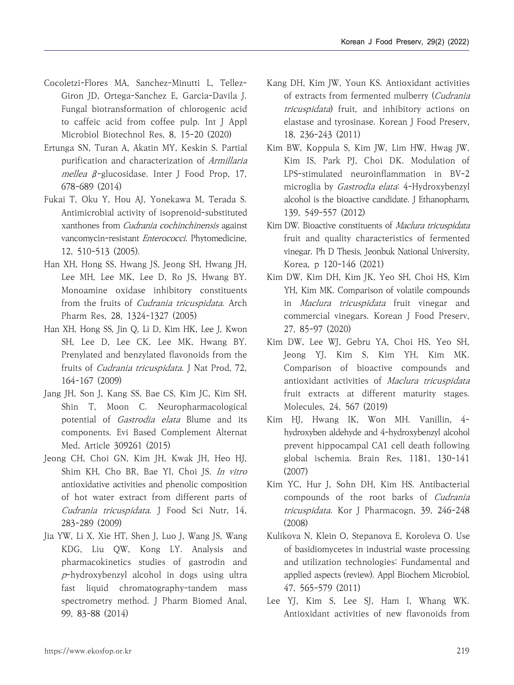- Cocoletzi-Flores MA, Sanchez-Minutti L, Tellez-Giron JD, Ortega-Sanchez E, Garcia-Davila J. Fungal biotransformation of chlorogenic acid to caffeic acid from coffee pulp. Int J Appl Microbiol Biotechnol Res, 8, 15-20 (2020)
- Ertunga SN, Turan A, Akatin MY, Keskin S. Partial purification and characterization of Armillaria mellea β-glucosidase. Inter J Food Prop, 17, 678-689 (2014)
- Fukai T, Oku Y, Hou AJ, Yonekawa M, Terada S. Antimicrobial activity of isoprenoid-substituted xanthones from Cudrania cochinchinensis against vancomycin-resistant Enterococci. Phytomedicine, 12, 510-513 (2005).
- Han XH, Hong SS, Hwang JS, Jeong SH, Hwang JH, Lee MH, Lee MK, Lee D, Ro JS, Hwang BY. Monoamine oxidase inhibitory constituents from the fruits of *Cudrania tricuspidata*. Arch Pharm Res, 28, 1324-1327 (2005)
- Han XH, Hong SS, Jin Q, Li D, Kim HK, Lee J, Kwon SH, Lee D, Lee CK, Lee MK, Hwang BY. Prenylated and benzylated flavonoids from the fruits of *Cudrania tricuspidata*. J Nat Prod, 72, 164-167 (2009)
- Jang JH, Son J, Kang SS, Bae CS, Kim JC, Kim SH, Shin T, Moon C. Neuropharmacological potential of Gastrodia elata Blume and its components. Evi Based Complement Alternat Med, Article 309261 (2015)
- Jeong CH, Choi GN, Kim JH, Kwak JH, Heo HJ, Shim KH, Cho BR, Bae YI, Choi JS. In vitro antioxidative activities and phenolic composition of hot water extract from different parts of Cudrania tricuspidata. J Food Sci Nutr, 14, 283-289 (2009)
- Jia YW, Li X, Xie HT, Shen J, Luo J, Wang JS, Wang KDG, Liu QW, Kong LY. Analysis and pharmacokinetics studies of gastrodin and <sup>p</sup>-hydroxybenzyl alcohol in dogs using ultra fast liquid chromatography-tandem mass spectrometry method. J Pharm Biomed Anal, 99, 83-88 (2014)
- Kang DH, Kim JW, Youn KS. Antioxidant activities of extracts from fermented mulberry (Cudrania tricuspidata) fruit, and inhibitory actions on elastase and tyrosinase. Korean J Food Preserv, 18, 236-243 (2011)
- Kim BW, Koppula S, Kim JW, Lim HW, Hwag JW, Kim IS, Park PJ, Choi DK. Modulation of LPS-stimulated neuroinflammation in BV-2 microglia by Gastrodia elata: 4-Hydroxybenzyl alcohol is the bioactive candidate. J Ethanopharm, 139, 549-557 (2012)
- Kim DW. Bioactive constituents of Maclura tricuspidata fruit and quality characteristics of fermented vinegar. Ph D Thesis, Jeonbuk National University, Korea, p 120-146 (2021)
- Kim DW, Kim DH, Kim JK, Yeo SH, Choi HS, Kim YH, Kim MK. Comparison of volatile compounds in Maclura tricuspidata fruit vinegar and commercial vinegars. Korean J Food Preserv, 27, 85-97 (2020)
- Kim DW, Lee WJ, Gebru YA, Choi HS, Yeo SH, Jeong YJ, Kim S, Kim YH, Kim MK. Comparison of bioactive compounds and antioxidant activities of Maclura tricuspidata fruit extracts at different maturity stages. Molecules, 24, 567 (2019)
- Kim HJ, Hwang IK, Won MH. Vanillin, 4 hydroxyben aldehyde and 4-hydroxybenzyl alcohol prevent hippocampal CA1 cell death following global ischemia. Brain Res, 1181, 130-141 (2007)
- Kim YC, Hur J, Sohn DH, Kim HS. Antibacterial compounds of the root barks of Cudrania tricuspidata. Kor J Pharmacogn, 39, 246-248 (2008)
- Kulikova N, Klein O, Stepanova E, Koroleva O. Use of basidiomycetes in industrial waste processing and utilization technologies: Fundamental and applied aspects (review). Appl Biochem Microbiol, 47, 565-579 (2011)
- Lee YJ, Kim S, Lee SJ, Ham I, Whang WK. Antioxidant activities of new flavonoids from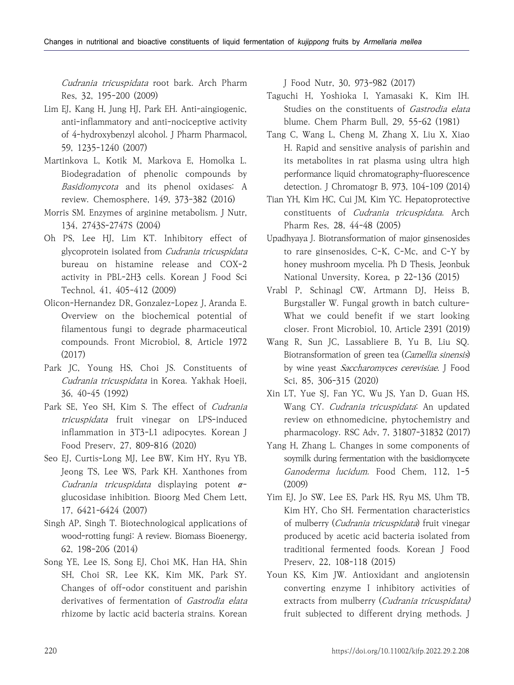Cudrania tricuspidata root bark. Arch Pharm Res, 32, 195-200 (2009)

- Lim EJ, Kang H, Jung HJ, Park EH. Anti-aingiogenic, anti-inflammatory and anti-nociceptive activity of 4-hydroxybenzyl alcohol. J Pharm Pharmacol, 59, 1235-1240 (2007)
- Martinkova L, Kotik M, Markova E, Homolka L. Biodegradation of phenolic compounds by Basidiomycota and its phenol oxidases: A review. Chemosphere, 149, 373-382 (2016)
- Morris SM. Enzymes of arginine metabolism. J Nutr, 134, 2743S-2747S (2004)
- Oh PS, Lee HJ, Lim KT. Inhibitory effect of glycoprotein isolated from Cudrania tricuspidata bureau on histamine release and COX-2 activity in PBL-2H3 cells. Korean J Food Sci Technol, 41, 405-412 (2009)
- Olicon-Hernandez DR, Gonzalez-Lopez J, Aranda E. Overview on the biochemical potential of filamentous fungi to degrade pharmaceutical compounds. Front Microbiol, 8, Article 1972 (2017)
- Park JC, Young HS, Choi JS. Constituents of Cudrania tricuspidata in Korea. Yakhak Hoeji, 36, 40-45 (1992)
- Park SE, Yeo SH, Kim S. The effect of Cudrania tricuspidata fruit vinegar on LPS-induced inflammation in 3T3-L1 adipocytes. Korean J Food Preserv, 27, 809-816 (2020)
- Seo EJ, Curtis-Long MJ, Lee BW, Kim HY, Ryu YB, Jeong TS, Lee WS, Park KH. Xanthones from *Cudrania tricuspidata* displaying potent  $\alpha$ -glucosidase inhibition. Bioorg Med Chem Lett, 17, 6421-6424 (2007)
- Singh AP, Singh T. Biotechnological applications of wood-rotting fungi: A review. Biomass Bioenergy, 62, 198-206 (2014)
- Song YE, Lee IS, Song EJ, Choi MK, Han HA, Shin SH, Choi SR, Lee KK, Kim MK, Park SY. Changes of off-odor constituent and parishin derivatives of fermentation of Gastrodia elata rhizome by lactic acid bacteria strains. Korean

J Food Nutr, 30, 973-982 (2017)

- Taguchi H, Yoshioka I, Yamasaki K, Kim IH. Studies on the constituents of Gastrodia elata blume. Chem Pharm Bull, 29, 55-62 (1981)
- Tang C, Wang L, Cheng M, Zhang X, Liu X, Xiao H. Rapid and sensitive analysis of parishin and its metabolites in rat plasma using ultra high performance liquid chromatography-fluorescence detection. J Chromatogr B, 973, 104-109 (2014)
- Tian YH, Kim HC, Cui JM, Kim YC. Hepatoprotective constituents of Cudrania tricuspidata. Arch Pharm Res, 28, 44-48 (2005)
- Upadhyaya J. Biotransformation of major ginsenosides to rare ginsenosides, C-K, C-Mc, and C-Y by honey mushroom mycelia. Ph D Thesis, Jeonbuk National Unversity, Korea, p 22-136 (2015)
- Vrabl P, Schinagl CW, Artmann DJ, Heiss B, Burgstaller W. Fungal growth in batch culture-What we could benefit if we start looking closer. Front Microbiol, 10, Article 2391 (2019)
- Wang R, Sun JC, Lassabliere B, Yu B, Liu SQ. Biotransformation of green tea (Camellia sinensis) by wine yeast Saccharomyces cerevisiae. J Food Sci, 85, 306-315 (2020)
- Xin LT, Yue SJ, Fan YC, Wu JS, Yan D, Guan HS, Wang CY. Cudrania tricuspidata: An updated review on ethnomedicine, phytochemistry and pharmacology. RSC Adv, 7, 31807-31832 (2017)
- Yang H, Zhang L. Changes in some components of soymilk during fermentation with the basidiomycete Ganoderma lucidum. Food Chem, 112, 1-5 (2009)
- Yim EJ, Jo SW, Lee ES, Park HS, Ryu MS, Uhm TB, Kim HY, Cho SH. Fermentation characteristics of mulberry (Cudrania tricuspidata) fruit vinegar produced by acetic acid bacteria isolated from traditional fermented foods. Korean J Food Preserv, 22, 108-118 (2015)
- Youn KS, Kim JW. Antioxidant and angiotensin converting enzyme I inhibitory activities of extracts from mulberry (Cudrania tricuspidata) fruit subjected to different drying methods. J